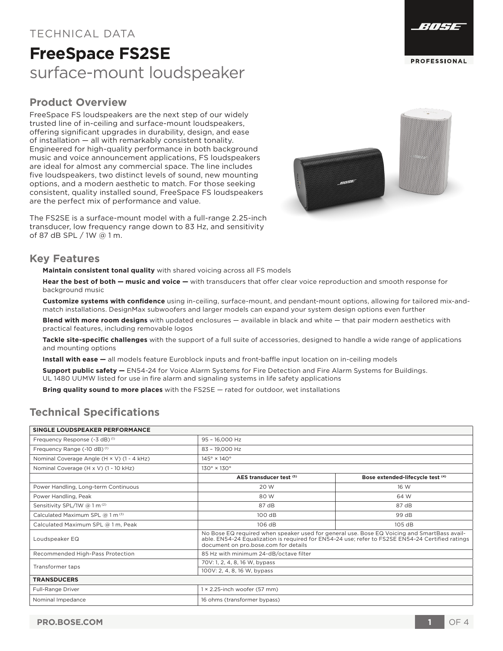#### **PRO.BOSE.COM 1** OF 4

### TECHNICAL DATA

## **FreeSpace FS2SE** surface-mount loudspeaker

### **Product Overview**

FreeSpace FS loudspeakers are the next step of our widely trusted line of in-ceiling and surface-mount loudspeakers, offering significant upgrades in durability, design, and ease of installation — all with remarkably consistent tonality. Engineered for high-quality performance in both background music and voice announcement applications, FS loudspeakers are ideal for almost any commercial space. The line includes five loudspeakers, two distinct levels of sound, new mounting options, and a modern aesthetic to match. For those seeking consistent, quality installed sound, FreeSpace FS loudspeakers are the perfect mix of performance and value.

The FS2SE is a surface-mount model with a full-range 2.25-inch transducer, low frequency range down to 83 Hz, and sensitivity of 87 dB SPL / 1W @ 1 m.

#### **Key Features**

**Maintain consistent tonal quality** with shared voicing across all FS models

**Hear the best of both — music and voice —** with transducers that offer clear voice reproduction and smooth response for background music

**Customize systems with confidence** using in-ceiling, surface-mount, and pendant-mount options, allowing for tailored mix-andmatch installations. DesignMax subwoofers and larger models can expand your system design options even further

**Blend with more room designs** with updated enclosures — available in black and white — that pair modern aesthetics with practical features, including removable logos

**Tackle site-specific challenges** with the support of a full suite of accessories, designed to handle a wide range of applications and mounting options

**Install with ease —** all models feature Euroblock inputs and front-baffle input location on in-ceiling models

**Support public safety —** EN54-24 for Voice Alarm Systems for Fire Detection and Fire Alarm Systems for Buildings. UL 1480 UUMW listed for use in fire alarm and signaling systems in life safety applications

**Bring quality sound to more places** with the FS2SE — rated for outdoor, wet installations

## **Technical Specifications**

| SINGLE LOUDSPEAKER PERFORMANCE |  |
|--------------------------------|--|

| Frequency Response (-3 dB) <sup>(1)</sup>  | 95 - 16,000 Hz                         |                                                                                                                                                                                                 |  |
|--------------------------------------------|----------------------------------------|-------------------------------------------------------------------------------------------------------------------------------------------------------------------------------------------------|--|
| Frequency Range (-10 dB) <sup>(1)</sup>    | 83 - 19.000 Hz                         |                                                                                                                                                                                                 |  |
| Nominal Coverage Angle (H × V) (1 - 4 kHz) | $145^\circ \times 140^\circ$           |                                                                                                                                                                                                 |  |
| Nominal Coverage (H x V) (1 - 10 kHz)      | $130^\circ \times 130^\circ$           |                                                                                                                                                                                                 |  |
|                                            | AES transducer test (5)                | Bose extended-lifecycle test (4)                                                                                                                                                                |  |
| Power Handling, Long-term Continuous       | 20 W                                   | 16 W                                                                                                                                                                                            |  |
| Power Handling, Peak                       | 80 W                                   | 64 W                                                                                                                                                                                            |  |
| Sensitivity SPL/1W @ 1 m (2)               | 87 dB                                  | 87 dB                                                                                                                                                                                           |  |
| Calculated Maximum SPL @ 1 m (3)           | 100 dB                                 | 99 dB                                                                                                                                                                                           |  |
| Calculated Maximum SPL @ 1 m, Peak         | 106 dB                                 | 105 dB                                                                                                                                                                                          |  |
| Loudspeaker EQ                             | document on pro.bose.com for details   | No Bose EQ required when speaker used for general use. Bose EQ Voicing and SmartBass avail-<br>able. EN54-24 Equalization is required for EN54-24 use; refer to FS2SE EN54-24 Certified ratings |  |
| Recommended High-Pass Protection           | 85 Hz with minimum 24-dB/octave filter |                                                                                                                                                                                                 |  |
| Transformer taps                           | 70V: 1, 2, 4, 8, 16 W, bypass          |                                                                                                                                                                                                 |  |
|                                            | 100V: 2, 4, 8, 16 W, bypass            |                                                                                                                                                                                                 |  |
| <b>TRANSDUCERS</b>                         |                                        |                                                                                                                                                                                                 |  |
| Full-Range Driver                          | $1 \times 2.25$ -inch woofer (57 mm)   |                                                                                                                                                                                                 |  |
| Nominal Impedance                          | 16 ohms (transformer bypass)           |                                                                                                                                                                                                 |  |



**PROFESSIONAL** 

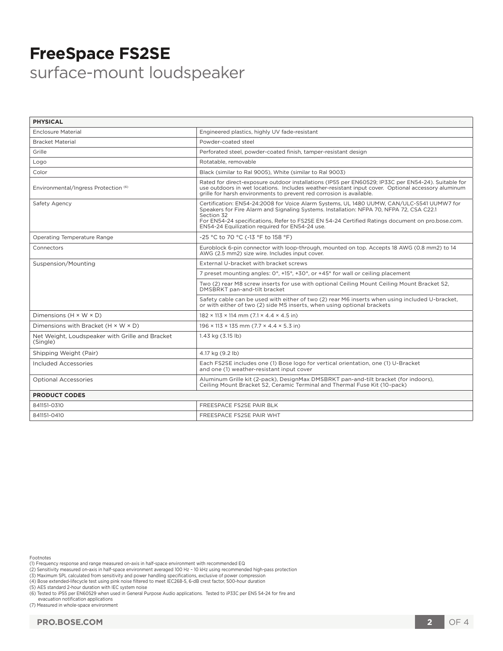## **FreeSpace FS2SE** surface-mount loudspeaker

| <b>PHYSICAL</b>                                             |                                                                                                                                                                                                                                                                                                                                                          |  |
|-------------------------------------------------------------|----------------------------------------------------------------------------------------------------------------------------------------------------------------------------------------------------------------------------------------------------------------------------------------------------------------------------------------------------------|--|
| Enclosure Material                                          | Engineered plastics, highly UV fade-resistant                                                                                                                                                                                                                                                                                                            |  |
| <b>Bracket Material</b>                                     | Powder-coated steel                                                                                                                                                                                                                                                                                                                                      |  |
| Grille                                                      | Perforated steel, powder-coated finish, tamper-resistant design                                                                                                                                                                                                                                                                                          |  |
| Logo                                                        | Rotatable, removable                                                                                                                                                                                                                                                                                                                                     |  |
| Color                                                       | Black (similar to Ral 9005). White (similar to Ral 9003)                                                                                                                                                                                                                                                                                                 |  |
| Environmental/Ingress Protection (6)                        | Rated for direct-exposure outdoor installations (IP55 per EN60529; IP33C per EN54-24). Suitable for<br>use outdoors in wet locations. Includes weather-resistant input cover. Optional accessory aluminum<br>grille for harsh environments to prevent red corrosion is available.                                                                        |  |
| Safety Agency                                               | Certification: EN54-24:2008 for Voice Alarm Systems, UL 1480 UUMW, CAN/ULC-S541 UUMW7 for<br>Speakers for Fire Alarm and Signaling Systems. Installation: NFPA 70, NFPA 72, CSA C22.1<br>Section 32<br>For EN54-24 specifications, Refer to FS2SE EN 54-24 Certified Ratings document on pro.bose.com.<br>EN54-24 Equilization required for EN54-24 use. |  |
| Operating Temperature Range                                 | -25 °C to 70 °C (-13 °F to 158 °F)                                                                                                                                                                                                                                                                                                                       |  |
| Connectors                                                  | Euroblock 6-pin connector with loop-through, mounted on top. Accepts 18 AWG (0.8 mm2) to 14<br>AWG (2.5 mm2) size wire. Includes input cover.                                                                                                                                                                                                            |  |
| Suspension/Mounting                                         | External U-bracket with bracket screws                                                                                                                                                                                                                                                                                                                   |  |
|                                                             | 7 preset mounting angles: 0°, +15°, +30°, or +45° for wall or ceiling placement                                                                                                                                                                                                                                                                          |  |
|                                                             | Two (2) rear M8 screw inserts for use with optional Ceiling Mount Ceiling Mount Bracket S2,<br>DMSBRKT pan-and-tilt bracket                                                                                                                                                                                                                              |  |
|                                                             | Safety cable can be used with either of two (2) rear M6 inserts when using included U-bracket,<br>or with either of two (2) side M5 inserts, when using optional brackets                                                                                                                                                                                |  |
| Dimensions $(H \times W \times D)$                          | $182 \times 113 \times 114$ mm $(7.1 \times 4.4 \times 4.5)$ in                                                                                                                                                                                                                                                                                          |  |
| Dimensions with Bracket $(H \times W \times D)$             | $196 \times 113 \times 135$ mm $(7.7 \times 4.4 \times 5.3)$ in                                                                                                                                                                                                                                                                                          |  |
| Net Weight, Loudspeaker with Grille and Bracket<br>(Single) | 1.43 kg (3.15 lb)                                                                                                                                                                                                                                                                                                                                        |  |
| Shipping Weight (Pair)                                      | 4.17 kg (9.2 lb)                                                                                                                                                                                                                                                                                                                                         |  |
| Included Accessories                                        | Each FS2SE includes one (1) Bose logo for vertical orientation, one (1) U-Bracket<br>and one (1) weather-resistant input cover                                                                                                                                                                                                                           |  |
| <b>Optional Accessories</b>                                 | Aluminum Grille kit (2-pack), DesignMax DMSBRKT pan-and-tilt bracket (for indoors),<br>Ceiling Mount Bracket S2, Ceramic Terminal and Thermal Fuse Kit (10-pack)                                                                                                                                                                                         |  |
| <b>PRODUCT CODES</b>                                        |                                                                                                                                                                                                                                                                                                                                                          |  |
| 841151-0310                                                 | FREESPACE FS2SE PAIR BLK                                                                                                                                                                                                                                                                                                                                 |  |
| 841151-0410                                                 | FREESPACE FS2SE PAIR WHT                                                                                                                                                                                                                                                                                                                                 |  |

Footnotes

(2) Sensitivity measured on-axis in half-space environment averaged 100 Hz – 10 kHz using recommended high-pass protection<br>(3) Maximum SPL calculated from sensitivity and power handling specifications, exclusive of power c

(4) Bose extended-lifecycle test using pink noise filtered to meet IEC268-5, 6-dB crest factor, 500-hour duration

(5) AES standard 2-hour duration with IEC system noise (6) Tested to iP55 per EN60529 when used in General Purpose Audio applications. Tested to iP33C per EN5 54-24 for fire and

 evacuation notification applications (7) Measured in whole-space environment

<sup>(1)</sup> Frequency response and range measured on-axis in half-space environment with recommended EQ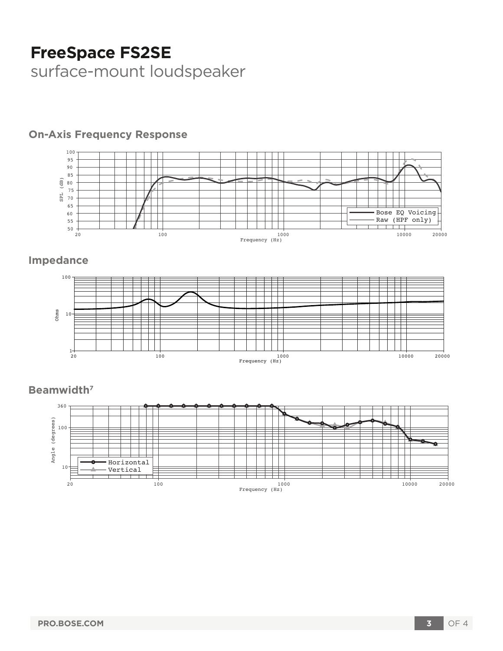# **FreeSpace FS2SE**

surface-mount loudspeaker

#### 100 95 90 85  $\frac{1}{\sqrt{6}}$  80 SPL (dB) 75 SPL 70 65 60 Bose EQ Voicing Raw (HPF only) 55 50 20 100 1000 10000 20000 Frequency (Hz)

## **On-Axis Frequency Response**

## **Impedance**



## **Beamwidth7**